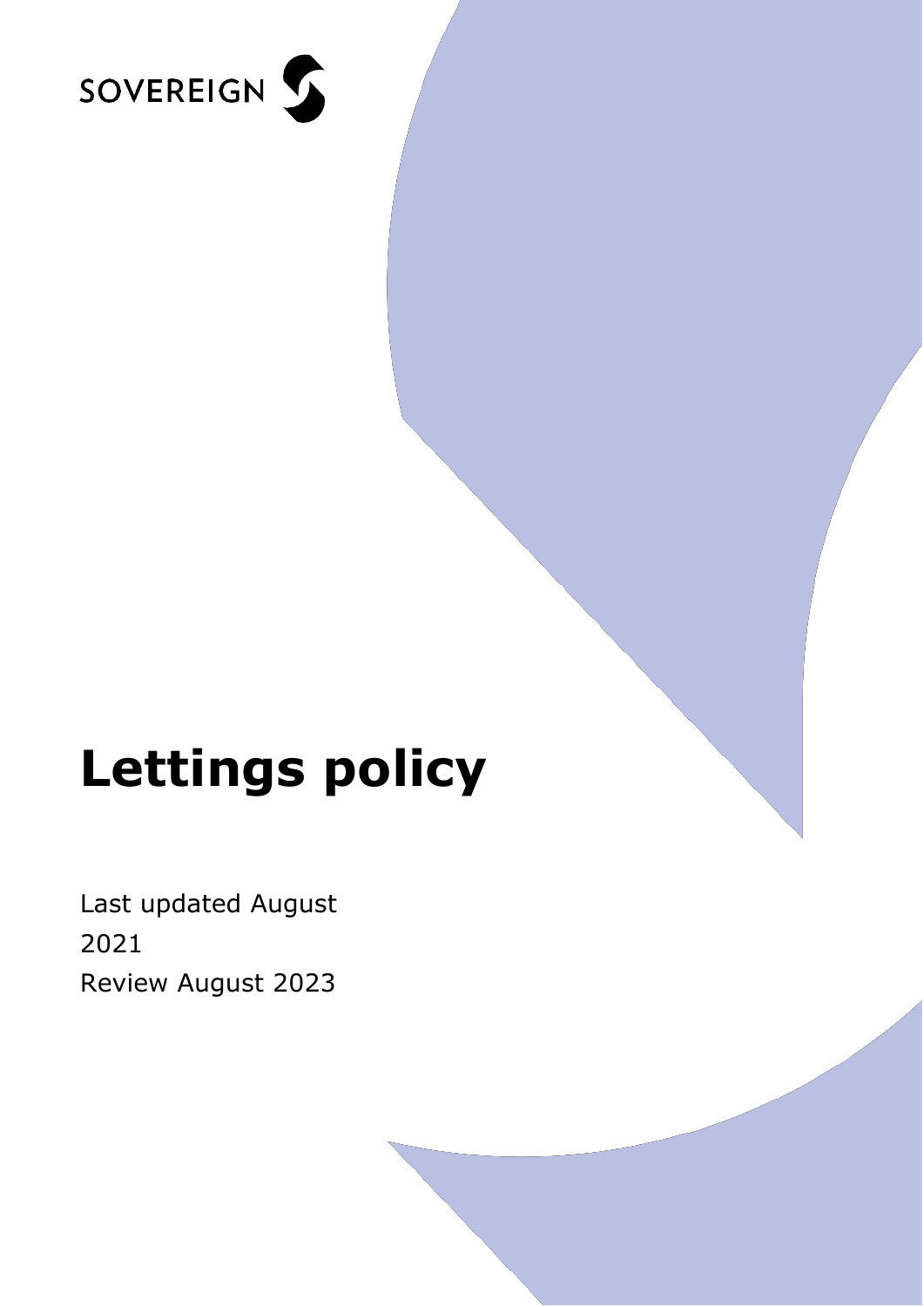

# **Lettings policy**

Last updated August 2021 Review August 2023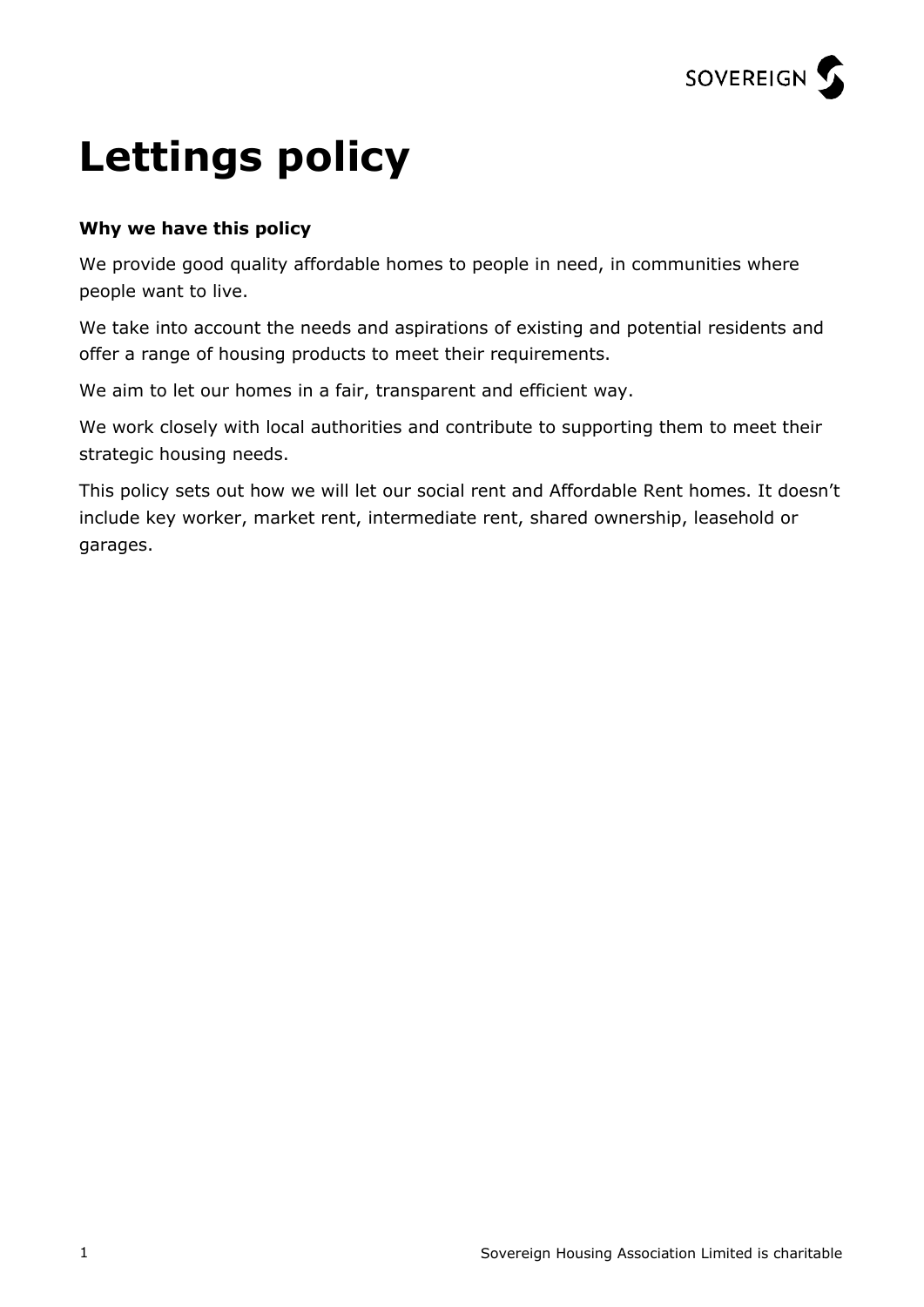

## **Lettings policy**

#### **Why we have this policy**

We provide good quality affordable homes to people in need, in communities where people want to live.

We take into account the needs and aspirations of existing and potential residents and offer a range of housing products to meet their requirements.

We aim to let our homes in a fair, transparent and efficient way.

We work closely with local authorities and contribute to supporting them to meet their strategic housing needs.

This policy sets out how we will let our social rent and Affordable Rent homes. It doesn't include key worker, market rent, intermediate rent, shared ownership, leasehold or garages.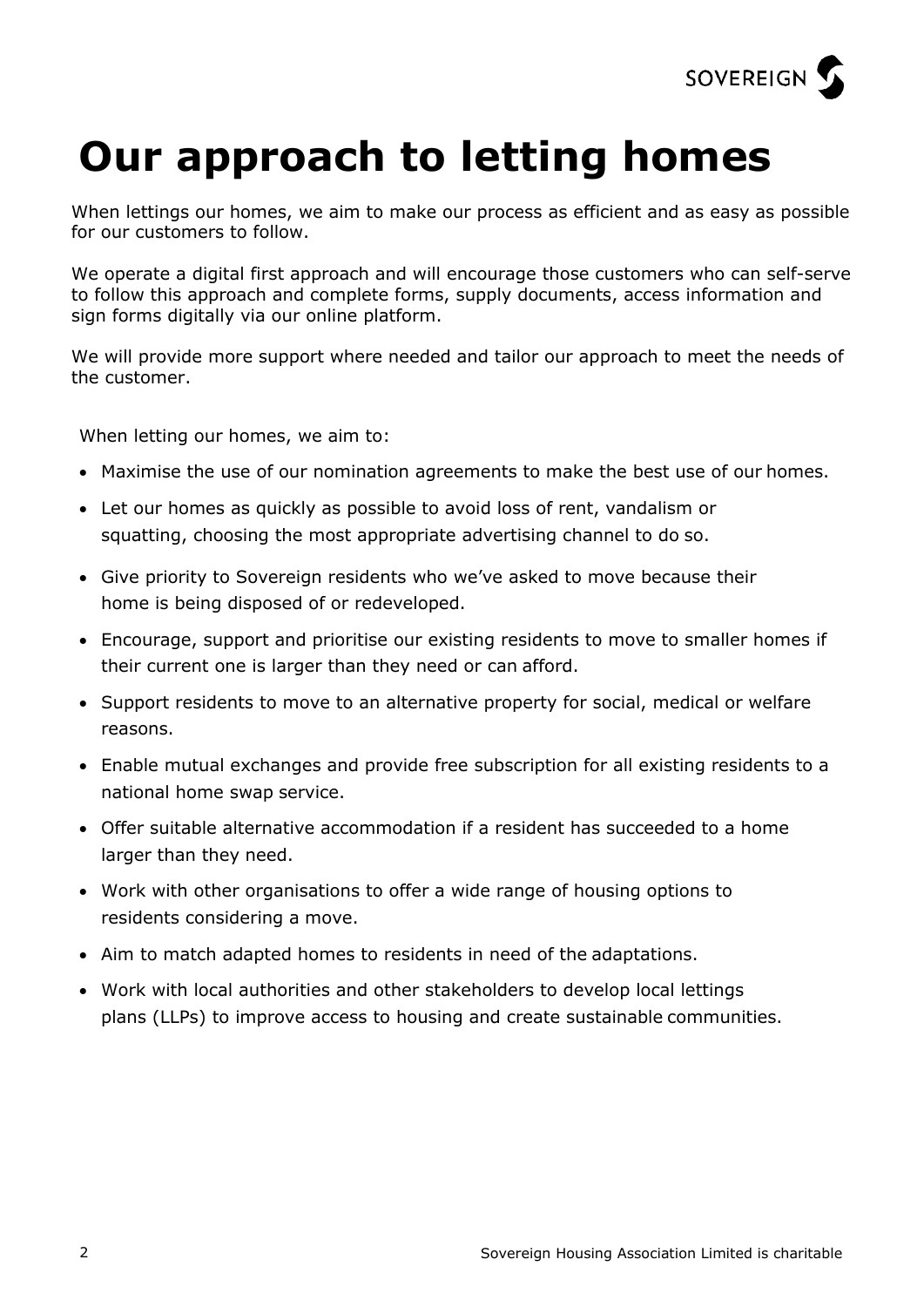

### **Our approach to letting homes**

When lettings our homes, we aim to make our process as efficient and as easy as possible for our customers to follow.

We operate a digital first approach and will encourage those customers who can self-serve to follow this approach and complete forms, supply documents, access information and sign forms digitally via our online platform.

We will provide more support where needed and tailor our approach to meet the needs of the customer.

When letting our homes, we aim to:

- Maximise the use of our nomination agreements to make the best use of our homes.
- Let our homes as quickly as possible to avoid loss of rent, vandalism or squatting, choosing the most appropriate advertising channel to do so.
- Give priority to Sovereign residents who we've asked to move because their home is being disposed of or redeveloped.
- Encourage, support and prioritise our existing residents to move to smaller homes if their current one is larger than they need or can afford.
- Support residents to move to an alternative property for social, medical or welfare reasons.
- Enable mutual exchanges and provide free subscription for all existing residents to a national home swap service.
- Offer suitable alternative accommodation if a resident has succeeded to a home larger than they need.
- Work with other organisations to offer a wide range of housing options to residents considering a move.
- Aim to match adapted homes to residents in need of the adaptations.
- Work with local authorities and other stakeholders to develop local lettings plans (LLPs) to improve access to housing and create sustainable communities.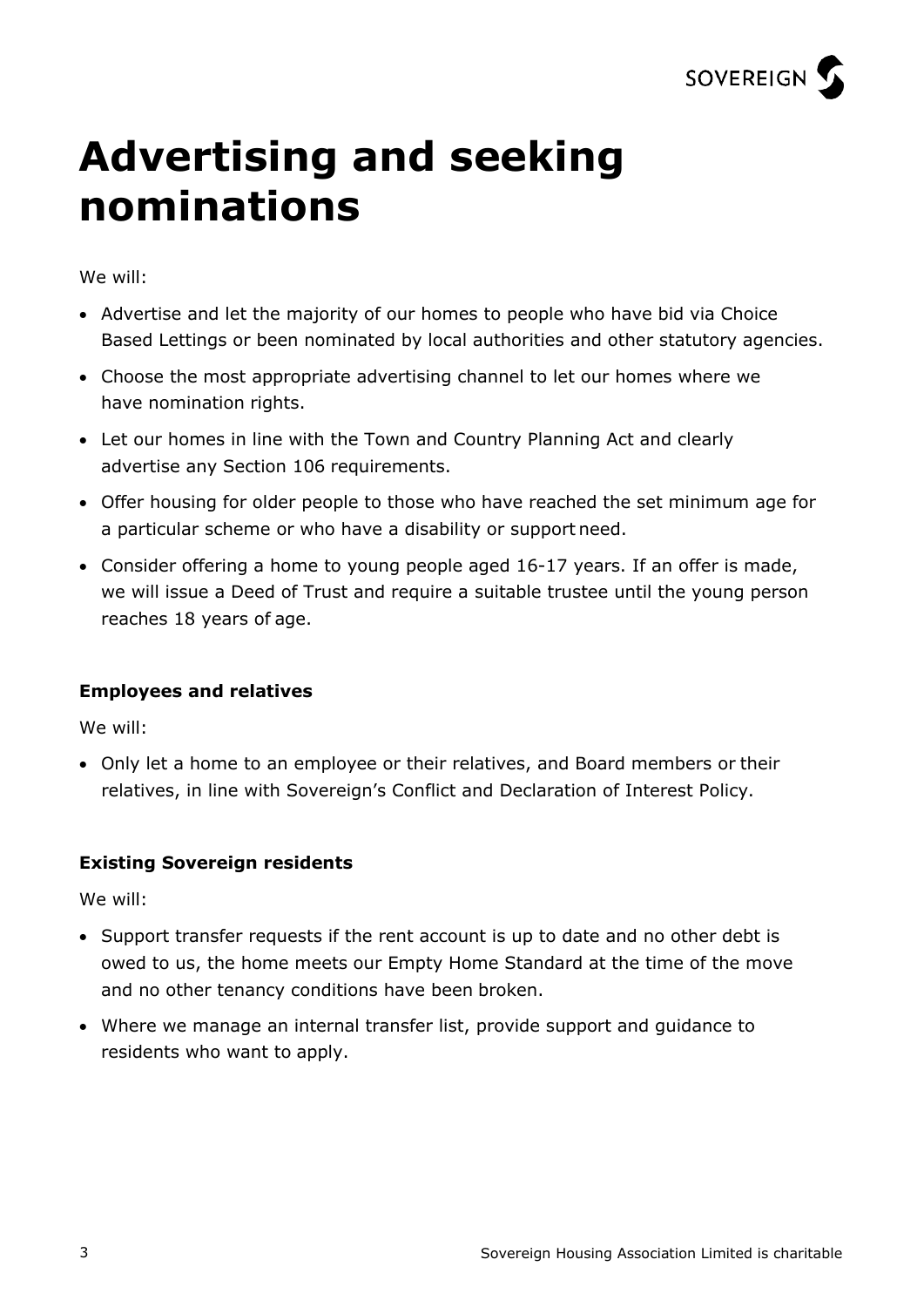

### **Advertising and seeking nominations**

We will:

- Advertise and let the majority of our homes to people who have bid via Choice Based Lettings or been nominated by local authorities and other statutory agencies.
- Choose the most appropriate advertising channel to let our homes where we have nomination rights.
- Let our homes in line with the Town and Country Planning Act and clearly advertise any Section 106 requirements.
- Offer housing for older people to those who have reached the set minimum age for a particular scheme or who have a disability or support need.
- Consider offering a home to young people aged 16-17 years. If an offer is made, we will issue a Deed of Trust and require a suitable trustee until the young person reaches 18 years of age.

#### **Employees and relatives**

We will:

• Only let a home to an employee or their relatives, and Board members or their relatives, in line with Sovereign's Conflict and Declaration of Interest Policy.

#### **Existing Sovereign residents**

We will:

- Support transfer requests if the rent account is up to date and no other debt is owed to us, the home meets our Empty Home Standard at the time of the move and no other tenancy conditions have been broken.
- Where we manage an internal transfer list, provide support and guidance to residents who want to apply.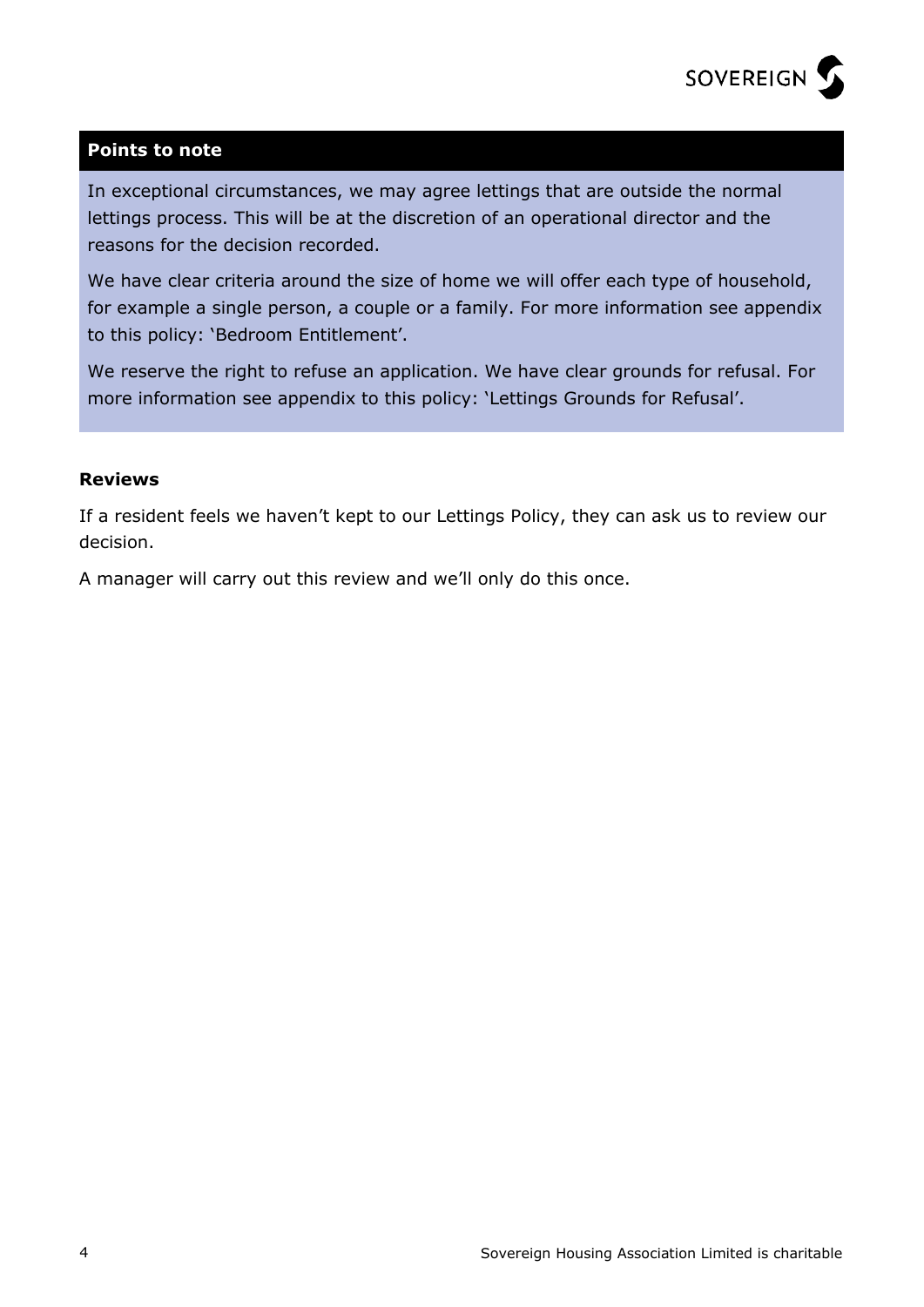

#### **Points to note**

In exceptional circumstances, we may agree lettings that are outside the normal lettings process. This will be at the discretion of an operational director and the reasons for the decision recorded.

We have clear criteria around the size of home we will offer each type of household, for example a single person, a couple or a family. For more information see appendix to this policy: 'Bedroom Entitlement'.

We reserve the right to refuse an application. We have clear grounds for refusal. For more information see appendix to this policy: 'Lettings Grounds for Refusal'.

#### **Reviews**

If a resident feels we haven't kept to our Lettings Policy, they can ask us to review our decision.

A manager will carry out this review and we'll only do this once.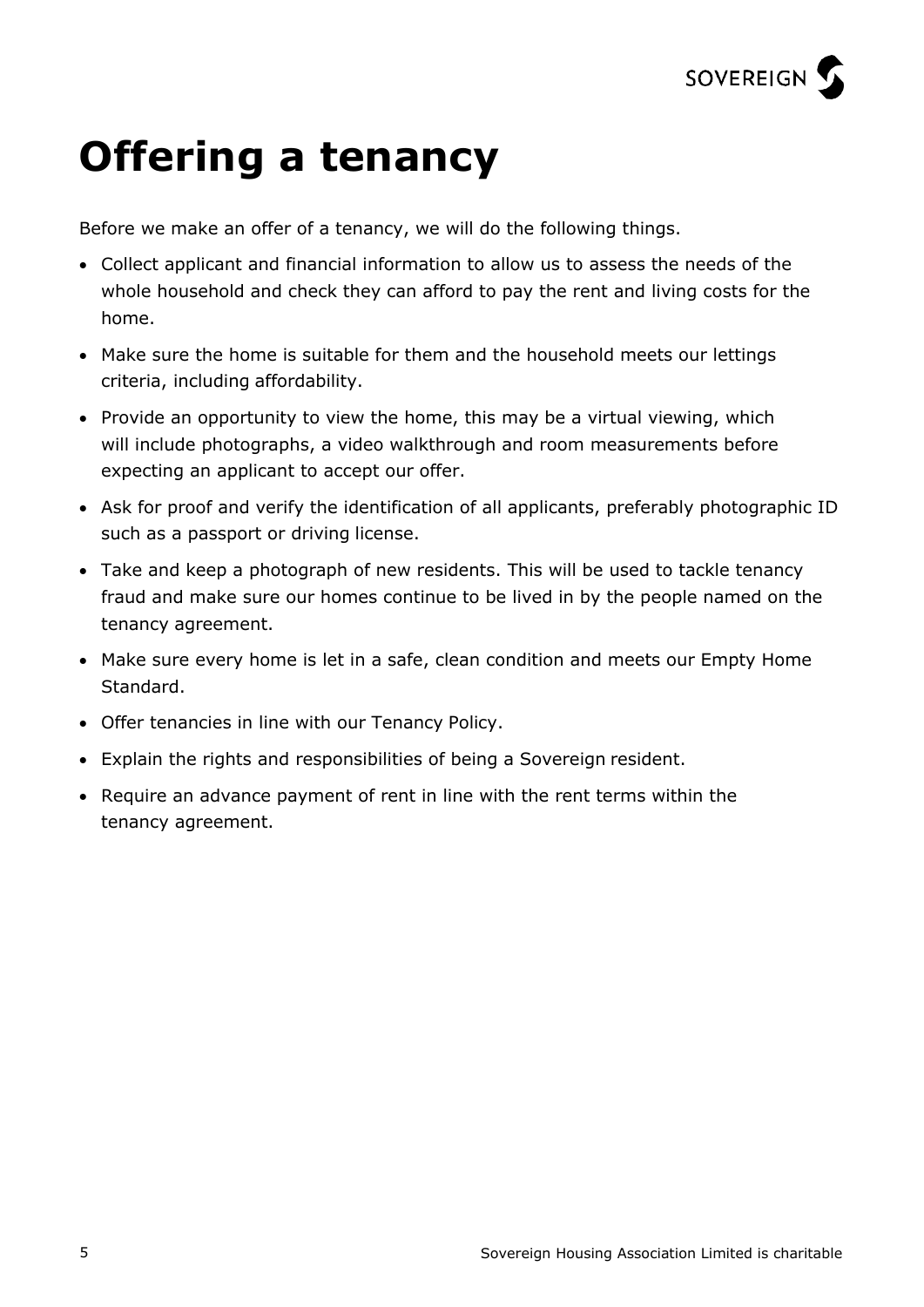

### **Offering a tenancy**

Before we make an offer of a tenancy, we will do the following things.

- Collect applicant and financial information to allow us to assess the needs of the whole household and check they can afford to pay the rent and living costs for the home.
- Make sure the home is suitable for them and the household meets our lettings criteria, including affordability.
- Provide an opportunity to view the home, this may be a virtual viewing, which will include photographs, a video walkthrough and room measurements before expecting an applicant to accept our offer.
- Ask for proof and verify the identification of all applicants, preferably photographic ID such as a passport or driving license.
- Take and keep a photograph of new residents. This will be used to tackle tenancy fraud and make sure our homes continue to be lived in by the people named on the tenancy agreement.
- Make sure every home is let in a safe, clean condition and meets our Empty Home Standard.
- Offer tenancies in line with our Tenancy Policy.
- Explain the rights and responsibilities of being a Sovereign resident.
- Require an advance payment of rent in line with the rent terms within the tenancy agreement.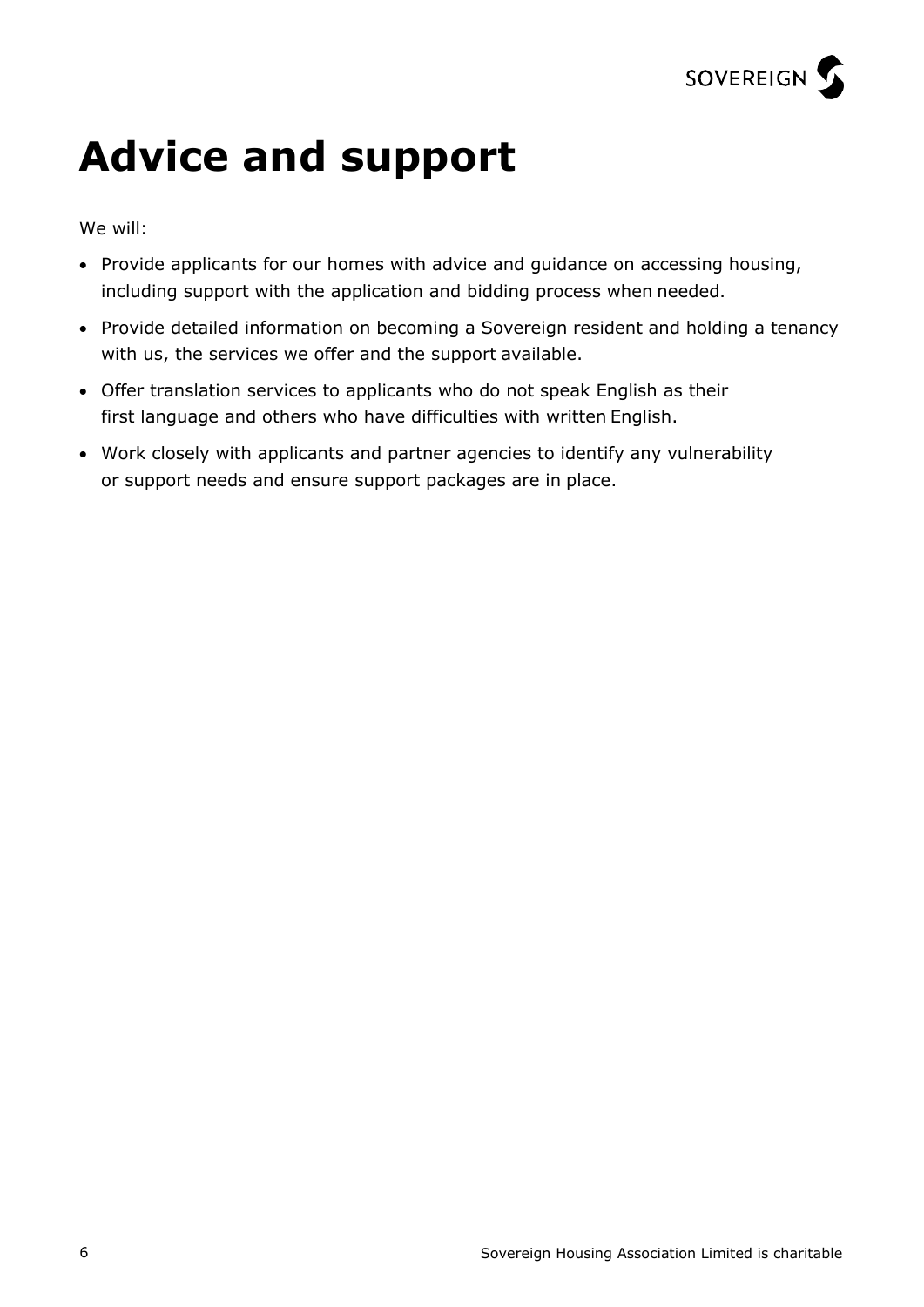

### **Advice and support**

We will:

- Provide applicants for our homes with advice and guidance on accessing housing, including support with the application and bidding process when needed.
- Provide detailed information on becoming a Sovereign resident and holding a tenancy with us, the services we offer and the support available.
- Offer translation services to applicants who do not speak English as their first language and others who have difficulties with written English.
- Work closely with applicants and partner agencies to identify any vulnerability or support needs and ensure support packages are in place.